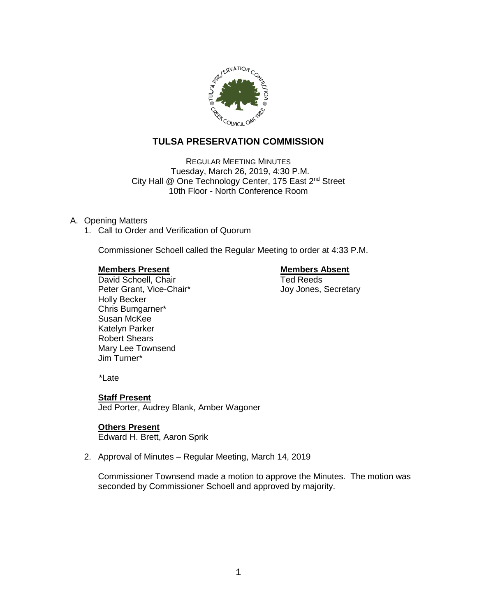

# **TULSA PRESERVATION COMMISSION**

REGULAR MEETING MINUTES Tuesday, March 26, 2019, 4:30 P.M. City Hall @ One Technology Center, 175 East 2<sup>nd</sup> Street 10th Floor - North Conference Room

# A. Opening Matters

1. Call to Order and Verification of Quorum

Commissioner Schoell called the Regular Meeting to order at 4:33 P.M.

#### **Members Present Communist Communist Present Communist Present**

**David Schoell, Chair** Ted Reeds Peter Grant, Vice-Chair\* The Chair Secretary Joy Jones, Secretary Holly Becker Chris Bumgarner\* Susan McKee Katelyn Parker Robert Shears Mary Lee Townsend Jim Turner\*

\*Late

# **Staff Present**

Jed Porter, Audrey Blank, Amber Wagoner

#### **Others Present**

Edward H. Brett, Aaron Sprik

2. Approval of Minutes – Regular Meeting, March 14, 2019

Commissioner Townsend made a motion to approve the Minutes. The motion was seconded by Commissioner Schoell and approved by majority.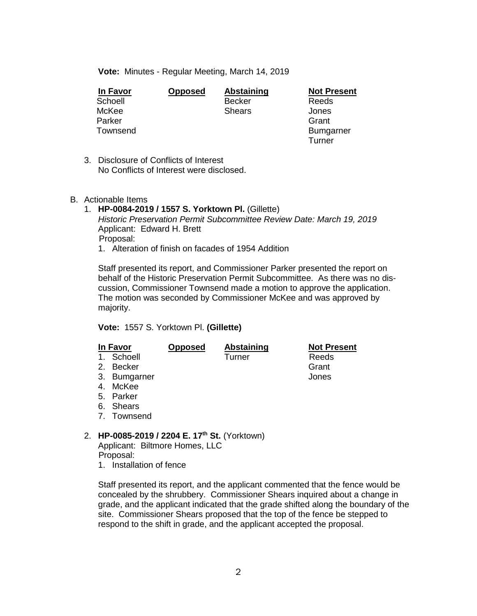**Vote:** Minutes - Regular Meeting, March 14, 2019

| In Favor | <b>Opposed</b> | Abstaining    | <b>Not Present</b> |
|----------|----------------|---------------|--------------------|
| Schoell  |                | <b>Becker</b> | Reeds              |
| McKee    |                | <b>Shears</b> | Jones              |
| Parker   |                |               | Grant              |
| Townsend |                |               | <b>Bumgarner</b>   |
|          |                |               | Turner             |

3. Disclosure of Conflicts of Interest No Conflicts of Interest were disclosed.

#### B. Actionable Items

- 1. **HP-0084-2019 / 1557 S. Yorktown Pl.** (Gillette) *Historic Preservation Permit Subcommittee Review Date: March 19, 2019* Applicant: Edward H. Brett Proposal:
	- 1. Alteration of finish on facades of 1954 Addition

Staff presented its report, and Commissioner Parker presented the report on behalf of the Historic Preservation Permit Subcommittee. As there was no discussion, Commissioner Townsend made a motion to approve the application. The motion was seconded by Commissioner McKee and was approved by majority.

**Vote:** 1557 S. Yorktown Pl. **(Gillette)**

|    | In Favor     | <b>Opposed</b> | <b>Abstaining</b> | <b>Not Present</b> |
|----|--------------|----------------|-------------------|--------------------|
|    | 1. Schoell   |                | Turner            | Reeds              |
| 2. | Becker       |                |                   | Grant              |
|    | 3. Bumgarner |                |                   | Jones              |
| 4. | McKee        |                |                   |                    |
|    | 5. Parker    |                |                   |                    |
|    | 6. Shears    |                |                   |                    |
|    |              |                |                   |                    |

- 7. Townsend
- 2. **HP-0085-2019 / 2204 E. 17th St.** (Yorktown)

Applicant: Biltmore Homes, LLC Proposal:

1. Installation of fence

Staff presented its report, and the applicant commented that the fence would be concealed by the shrubbery. Commissioner Shears inquired about a change in grade, and the applicant indicated that the grade shifted along the boundary of the site. Commissioner Shears proposed that the top of the fence be stepped to respond to the shift in grade, and the applicant accepted the proposal.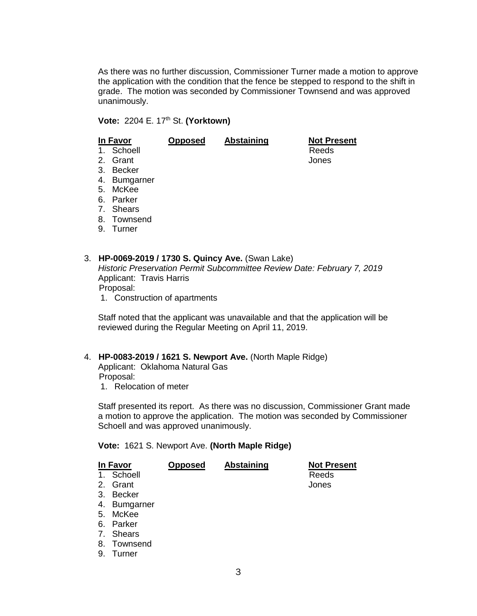As there was no further discussion, Commissioner Turner made a motion to approve the application with the condition that the fence be stepped to respond to the shift in grade. The motion was seconded by Commissioner Townsend and was approved unanimously.

**Vote:** 2204 E. 17th St. **(Yorktown)**

|    | In Favor         | <b>Opposed</b> | <b>Abstaining</b> | <b>Not Present</b> |
|----|------------------|----------------|-------------------|--------------------|
|    | 1. Schoell       |                |                   | Reeds              |
|    | 2. Grant         |                |                   | Jones              |
| 3. | Becker           |                |                   |                    |
| 4. | <b>Bumgarner</b> |                |                   |                    |
| 5. | McKee            |                |                   |                    |
|    | 6. Parker        |                |                   |                    |
|    | 7. Shears        |                |                   |                    |
| 8. | Townsend         |                |                   |                    |
| 9. | Turner           |                |                   |                    |
|    |                  |                |                   |                    |
|    |                  |                |                   |                    |

3. **HP-0069-2019 / 1730 S. Quincy Ave.** (Swan Lake) *Historic Preservation Permit Subcommittee Review Date: February 7, 2019* Applicant: Travis Harris Proposal:

1. Construction of apartments

Staff noted that the applicant was unavailable and that the application will be reviewed during the Regular Meeting on April 11, 2019.

# 4. **HP-0083-2019 / 1621 S. Newport Ave.** (North Maple Ridge)

Applicant: Oklahoma Natural Gas Proposal:

1. Relocation of meter

Staff presented its report. As there was no discussion, Commissioner Grant made a motion to approve the application. The motion was seconded by Commissioner Schoell and was approved unanimously.

#### **Vote:** 1621 S. Newport Ave. **(North Maple Ridge)**

|    | In Favor         | Opposed | <b>Abstaining</b> | <b>Not Present</b> |
|----|------------------|---------|-------------------|--------------------|
| 1. | Schoell          |         |                   | Reeds              |
| 2. | Grant            |         |                   | Jones              |
| 3. | <b>Becker</b>    |         |                   |                    |
| 4. | <b>Bumgarner</b> |         |                   |                    |
| 5. | McKee            |         |                   |                    |
| 6. | Parker           |         |                   |                    |
|    | 7. Shears        |         |                   |                    |
| 8. | Townsend         |         |                   |                    |
| 9. | Turner           |         |                   |                    |
|    |                  |         |                   |                    |